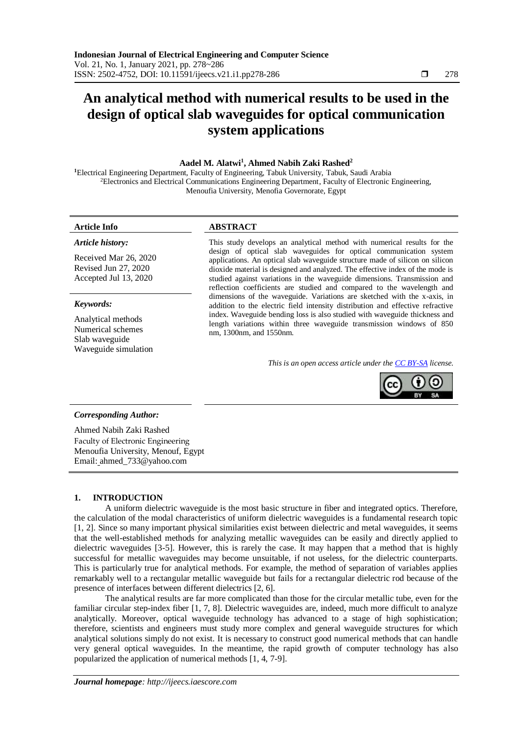# **An analytical method with numerical results to be used in the design of optical slab waveguides for optical communication system applications**

#### **Aadel M. Alatwi<sup>1</sup> , Ahmed Nabih Zaki Rashed<sup>2</sup>**

**<sup>1</sup>**Electrical Engineering Department, Faculty of Engineering, Tabuk University, Tabuk, Saudi Arabia <sup>2</sup>Electronics and Electrical Communications Engineering Department, Faculty of Electronic Engineering, Menoufia University, Menofia Governorate, Egypt

#### *Article history:*

Received Mar 26, 2020 Revised Jun 27, 2020 Accepted Jul 13, 2020

#### *Keywords:*

Analytical methods Numerical schemes Slab waveguide Waveguide simulation

## **Article Info ABSTRACT**

This study develops an analytical method with numerical results for the design of optical slab waveguides for optical communication system applications. An optical slab waveguide structure made of silicon on silicon dioxide material is designed and analyzed. The effective index of the mode is studied against variations in the waveguide dimensions. Transmission and reflection coefficients are studied and compared to the wavelength and dimensions of the waveguide. Variations are sketched with the x-axis, in addition to the electric field intensity distribution and effective refractive index. Waveguide bending loss is also studied with waveguide thickness and length variations within three waveguide transmission windows of 850 nm, 1300nm, and 1550nm.

*This is an open access article under the [CC BY-SA](https://creativecommons.org/licenses/by-sa/4.0/) license.*



#### *Corresponding Author:*

Ahmed Nabih Zaki Rashed Faculty of Electronic Engineering Menoufia University, Menouf, Egypt Email: ahmed\_733@yahoo.com

### **1. INTRODUCTION**

A uniform dielectric waveguide is the most basic structure in fiber and integrated optics. Therefore, the calculation of the modal characteristics of uniform dielectric waveguides is a fundamental research topic [1, 2]. Since so many important physical similarities exist between dielectric and metal waveguides, it seems that the well-established methods for analyzing metallic waveguides can be easily and directly applied to dielectric waveguides [3-5]. However, this is rarely the case. It may happen that a method that is highly successful for metallic waveguides may become unsuitable, if not useless, for the dielectric counterparts. This is particularly true for analytical methods. For example, the method of separation of variables applies remarkably well to a rectangular metallic waveguide but fails for a rectangular dielectric rod because of the presence of interfaces between different dielectrics [2, 6].

The analytical results are far more complicated than those for the circular metallic tube, even for the familiar circular step-index fiber [1, 7, 8]. Dielectric waveguides are, indeed, much more difficult to analyze analytically. Moreover, optical waveguide technology has advanced to a stage of high sophistication; therefore, scientists and engineers must study more complex and general waveguide structures for which analytical solutions simply do not exist. It is necessary to construct good numerical methods that can handle very general optical waveguides. In the meantime, the rapid growth of computer technology has also popularized the application of numerical methods [1, 4, 7-9].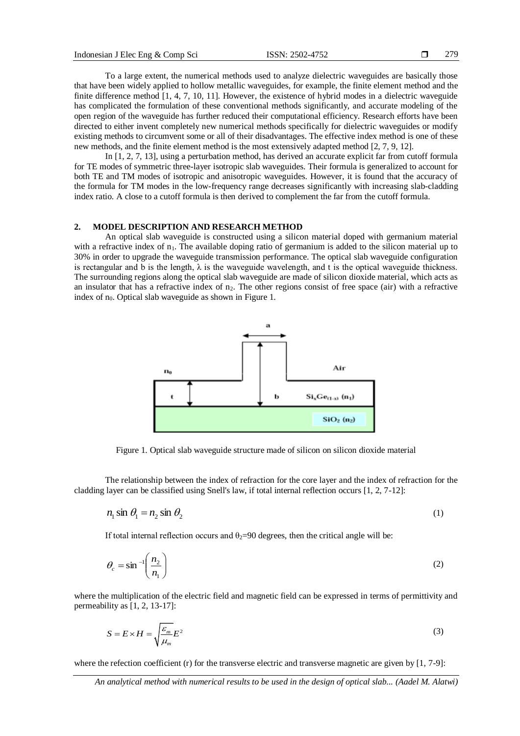To a large extent, the numerical methods used to analyze dielectric waveguides are basically those that have been widely applied to hollow metallic waveguides, for example, the finite element method and the finite difference method [1, 4, 7, 10, 11]. However, the existence of hybrid modes in a dielectric waveguide has complicated the formulation of these conventional methods significantly, and accurate modeling of the open region of the waveguide has further reduced their computational efficiency. Research efforts have been directed to either invent completely new numerical methods specifically for dielectric waveguides or modify existing methods to circumvent some or all of their disadvantages. The effective index method is one of these new methods, and the finite element method is the most extensively adapted method [2, 7, 9, 12].

In [1, 2, 7, 13], using a perturbation method, has derived an accurate explicit far from cutoff formula for TE modes of symmetric three-layer isotropic slab waveguides. Their formula is generalized to account for both TE and TM modes of isotropic and anisotropic waveguides. However, it is found that the accuracy of the formula for TM modes in the low-frequency range decreases significantly with increasing slab-cladding index ratio. A close to a cutoff formula is then derived to complement the far from the cutoff formula.

#### **2. MODEL DESCRIPTION AND RESEARCH METHOD**

An optical slab waveguide is constructed using a silicon material doped with germanium material with a refractive index of n<sub>1</sub>. The available doping ratio of germanium is added to the silicon material up to 30% in order to upgrade the waveguide transmission performance. The optical slab waveguide configuration is rectangular and b is the length,  $\lambda$  is the waveguide wavelength, and t is the optical waveguide thickness. The surrounding regions along the optical slab waveguide are made of silicon dioxide material, which acts as an insulator that has a refractive index of  $n_2$ . The other regions consist of free space (air) with a refractive index of  $n_0$ . Optical slab waveguide as shown in Figure 1.



Figure 1. Optical slab waveguide structure made of silicon on silicon dioxide material

The relationship between the index of refraction for the core layer and the index of refraction for the cladding layer can be classified using Snell's law, if total internal reflection occurs [1, 2, 7-12]:

$$
n_1 \sin \theta_1 = n_2 \sin \theta_2 \tag{1}
$$

If total internal reflection occurs and  $\theta_2=90$  degrees, then the critical angle will be:

$$
\theta_c = \sin^{-1}\left(\frac{n_2}{n_1}\right) \tag{2}
$$

where the multiplication of the electric field and magnetic field can be expressed in terms of permittivity and permeability as [1, 2, 13-17]:

$$
S = E \times H = \sqrt{\frac{\varepsilon_m}{\mu_m}} E^2
$$
\n(3)

where the refection coefficient (r) for the transverse electric and transverse magnetic are given by [1, 7-9]: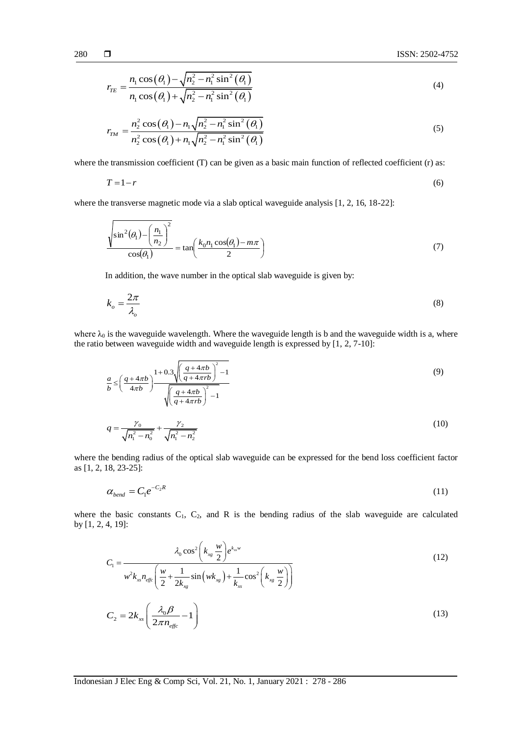$$
r_{TE} = \frac{n_1 \cos(\theta_1) - \sqrt{n_2^2 - n_1^2 \sin^2(\theta_1)}}{n_1 \cos(\theta_1) + \sqrt{n_2^2 - n_1^2 \sin^2(\theta_1)}}
$$
(4)

$$
r_{TM} = \frac{n_2^2 \cos(\theta_1) - n_1 \sqrt{n_2^2 - n_1^2 \sin^2(\theta_1)}}{n_2^2 \cos(\theta_1) + n_1 \sqrt{n_2^2 - n_1^2 \sin^2(\theta_1)}}
$$
(5)

where the transmission coefficient (T) can be given as a basic main function of reflected coefficient (r) as:

$$
T = 1 - r \tag{6}
$$

where the transverse magnetic mode via a slab optical waveguide analysis [1, 2, 16, 18-22]:

$$
\frac{\sqrt{\sin^2(\theta_1) - \left(\frac{n_1}{n_2}\right)^2}}{\cos(\theta_1)} = \tan\left(\frac{k_0 n_1 \cos(\theta_1) - m\pi}{2}\right)
$$
\n(7)

In addition, the wave number in the optical slab waveguide is given by:

$$
k_o = \frac{2\pi}{\lambda_o} \tag{8}
$$

where  $\lambda_0$  is the waveguide wavelength. Where the waveguide length is b and the waveguide width is a, where the ratio between waveguide width and waveguide length is expressed by [1, 2, 7-10]:

$$
\frac{a}{b} \le \left(\frac{q+4\pi b}{4\pi b}\right)^{1+0.3} \sqrt{\frac{\left(\frac{q+4\pi b}{q+4\pi rb}\right)^{2}-1}{\sqrt{\left(\frac{q+4\pi b}{q+4\pi rb}\right)^{2}-1}}}
$$
(9)

$$
q = \frac{\gamma_0}{\sqrt{n_1^2 - n_0^2}} + \frac{\gamma_2}{\sqrt{n_1^2 - n_2^2}}
$$
\n(10)

where the bending radius of the optical slab waveguide can be expressed for the bend loss coefficient factor as [1, 2, 18, 23-25]:

$$
\alpha_{bend} = C_1 e^{-C_2 R} \tag{11}
$$

where the basic constants  $C_1$ ,  $C_2$ , and R is the bending radius of the slab waveguide are calculated by [1, 2, 4, 19]:

4, 19]:  
\n
$$
C_1 = \frac{\lambda_0 \cos^2 \left(k_{xg} \frac{w}{2}\right) e^{k_{xg}w}}{w^2 k_{xg} n_{effc} \left(\frac{w}{2} + \frac{1}{2k_{xg}} \sin \left(w k_{xg}\right) + \frac{1}{k_{xg}} \cos^2 \left(k_{xg} \frac{w}{2}\right)\right)}
$$
\n(12)

$$
C_2 = 2k_{xs} \left( \frac{\lambda_0 \beta}{2\pi n_{\text{effc}}} - 1 \right) \tag{13}
$$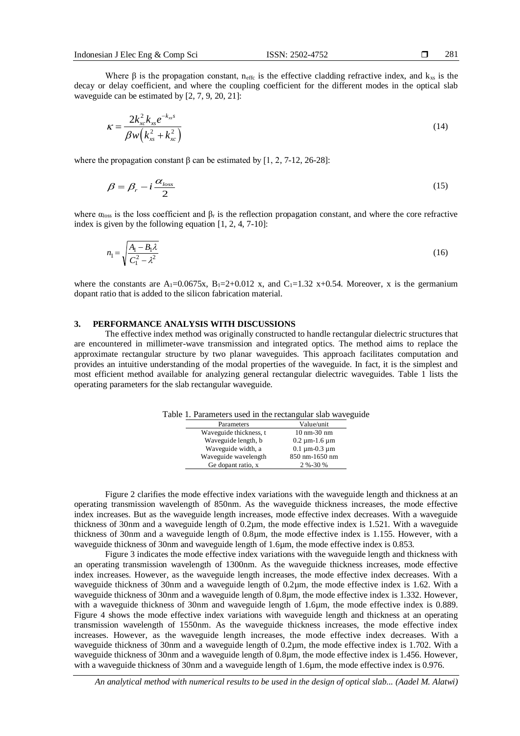Where  $\beta$  is the propagation constant, n<sub>effc</sub> is the effective cladding refractive index, and k<sub>xs</sub> is the decay or delay coefficient, and where the coupling coefficient for the different modes in the optical slab waveguide can be estimated by [2, 7, 9, 20, 21]:

$$
\kappa = \frac{2k_{xc}^2 k_{xs} e^{-k_{xs} s}}{\beta w (k_{xs}^2 + k_{xc}^2)}
$$
(14)

where the propagation constant  $\beta$  can be estimated by [1, 2, 7-12, 26-28]:

$$
\beta = \beta_r - i \frac{\alpha_{loss}}{2} \tag{15}
$$

where  $\alpha_{loss}$  is the loss coefficient and  $\beta_r$  is the reflection propagation constant, and where the core refractive index is given by the following equation [1, 2, 4, 7-10]:

$$
n_1 = \sqrt{\frac{A_1 - B_1 \lambda}{C_1^2 - \lambda^2}}
$$
\n(16)

where the constants are  $A_1=0.0675x$ ,  $B_1=2+0.012$  x, and  $C_1=1.32$  x+0.54. Moreover, x is the germanium dopant ratio that is added to the silicon fabrication material.

#### **3. PERFORMANCE ANALYSIS WITH DISCUSSIONS**

The effective index method was originally constructed to handle rectangular dielectric structures that are encountered in millimeter-wave transmission and integrated optics. The method aims to replace the approximate rectangular structure by two planar waveguides. This approach facilitates computation and provides an intuitive understanding of the modal properties of the waveguide. In fact, it is the simplest and most efficient method available for analyzing general rectangular dielectric waveguides. Table 1 lists the operating parameters for the slab rectangular waveguide.

Table 1. Parameters used in the rectangular slab waveguide

| Parameters             | Value/unit              |
|------------------------|-------------------------|
| Waveguide thickness, t | $10 \text{ nm}$ -30 nm  |
| Waveguide length, b    | $0.2 \mu m - 1.6 \mu m$ |
| Waveguide width, a     | $0.1 \mu m - 0.3 \mu m$ |
| Waveguide wavelength   | 850 nm-1650 nm          |
| Ge dopant ratio, x     | 2 %-30 %                |

Figure 2 clarifies the mode effective index variations with the waveguide length and thickness at an operating transmission wavelength of 850nm. As the waveguide thickness increases, the mode effective index increases. But as the waveguide length increases, mode effective index decreases. With a waveguide thickness of 30nm and a waveguide length of 0.2µm, the mode effective index is 1.521. With a waveguide thickness of 30nm and a waveguide length of 0.8µm, the mode effective index is 1.155. However, with a waveguide thickness of 30nm and waveguide length of 1.6um, the mode effective index is 0.853.

Figure 3 indicates the mode effective index variations with the waveguide length and thickness with an operating transmission wavelength of 1300nm. As the waveguide thickness increases, mode effective index increases. However, as the waveguide length increases, the mode effective index decreases. With a waveguide thickness of 30nm and a waveguide length of 0.2µm, the mode effective index is 1.62. With a waveguide thickness of 30nm and a waveguide length of 0.8µm, the mode effective index is 1.332. However, with a waveguide thickness of 30nm and waveguide length of 1.6 $\mu$ m, the mode effective index is 0.889. Figure 4 shows the mode effective index variations with waveguide length and thickness at an operating transmission wavelength of 1550nm. As the waveguide thickness increases, the mode effective index increases. However, as the waveguide length increases, the mode effective index decreases. With a waveguide thickness of 30nm and a waveguide length of 0.2 $\mu$ m, the mode effective index is 1.702. With a waveguide thickness of 30nm and a waveguide length of 0.8µm, the mode effective index is 1.456. However, with a waveguide thickness of 30nm and a waveguide length of 1.6um, the mode effective index is 0.976.

*An analytical method with numerical results to be used in the design of optical slab... (Aadel M. Alatwi)*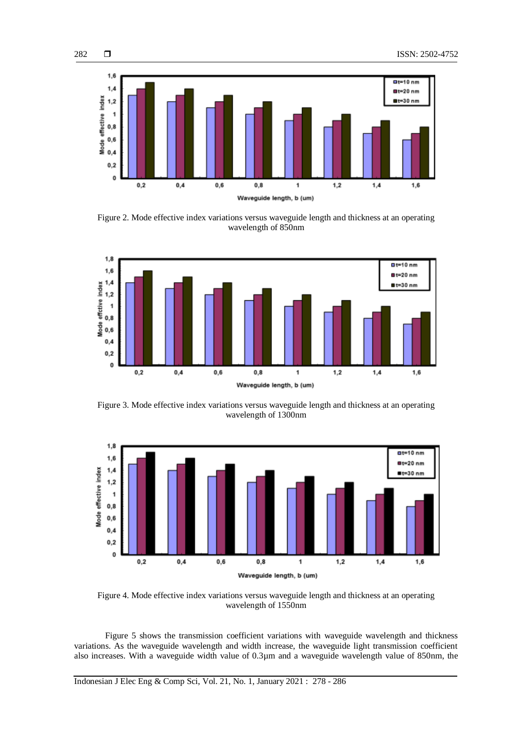

282

Figure 2. Mode effective index variations versus waveguide length and thickness at an operating wavelength of 850nm



Figure 3. Mode effective index variations versus waveguide length and thickness at an operating wavelength of 1300nm



Figure 4. Mode effective index variations versus waveguide length and thickness at an operating wavelength of 1550nm

Figure 5 shows the transmission coefficient variations with waveguide wavelength and thickness variations. As the waveguide wavelength and width increase, the waveguide light transmission coefficient also increases. With a waveguide width value of 0.3µm and a waveguide wavelength value of 850nm, the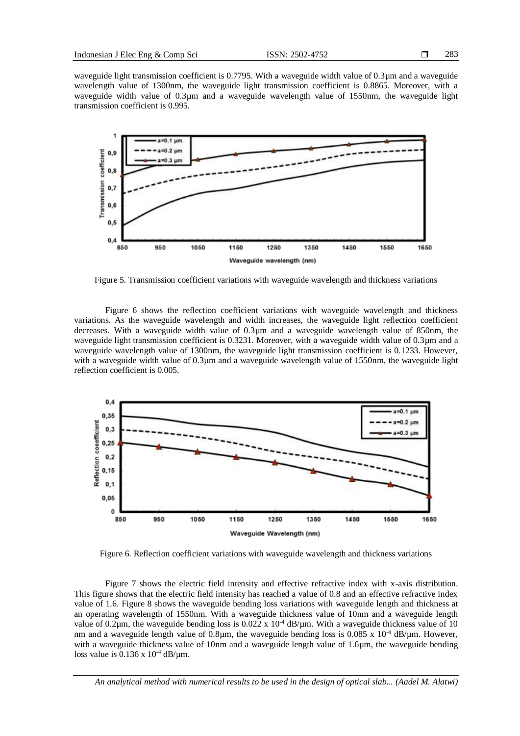waveguide light transmission coefficient is 0.7795. With a waveguide width value of 0.3µm and a waveguide wavelength value of 1300nm, the waveguide light transmission coefficient is 0.8865. Moreover, with a waveguide width value of 0.3µm and a waveguide wavelength value of 1550nm, the waveguide light transmission coefficient is 0.995.



Figure 5. Transmission coefficient variations with waveguide wavelength and thickness variations

Figure 6 shows the reflection coefficient variations with waveguide wavelength and thickness variations. As the waveguide wavelength and width increases, the waveguide light reflection coefficient decreases. With a waveguide width value of 0.3µm and a waveguide wavelength value of 850nm, the waveguide light transmission coefficient is 0.3231. Moreover, with a waveguide width value of 0.3µm and a waveguide wavelength value of 1300nm, the waveguide light transmission coefficient is 0.1233. However, with a waveguide width value of 0.3µm and a waveguide wavelength value of 1550nm, the waveguide light reflection coefficient is 0.005.



Figure 6. Reflection coefficient variations with waveguide wavelength and thickness variations

Figure 7 shows the electric field intensity and effective refractive index with x-axis distribution. This figure shows that the electric field intensity has reached a value of 0.8 and an effective refractive index value of 1.6. Figure 8 shows the waveguide bending loss variations with waveguide length and thickness at an operating wavelength of 1550nm. With a waveguide thickness value of 10nm and a waveguide length value of 0.2 $\mu$ m, the waveguide bending loss is 0.022 x 10<sup>-4</sup> dB/ $\mu$ m. With a waveguide thickness value of 10 nm and a waveguide length value of 0.8µm, the waveguide bending loss is 0.085 x  $10^{-4}$  dB/µm. However, with a waveguide thickness value of 10nm and a waveguide length value of 1.6µm, the waveguide bending loss value is  $0.136 \times 10^{-4}$  dB/ $\mu$ m.

*An analytical method with numerical results to be used in the design of optical slab... (Aadel M. Alatwi)*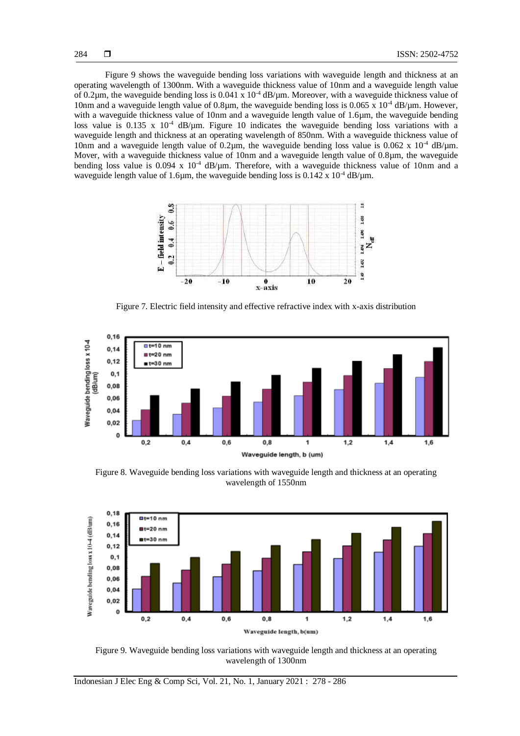Figure 9 shows the waveguide bending loss variations with waveguide length and thickness at an operating wavelength of 1300nm. With a waveguide thickness value of 10nm and a waveguide length value of 0.2 $\mu$ m, the waveguide bending loss is 0.041 x 10<sup>-4</sup> dB/ $\mu$ m. Moreover, with a waveguide thickness value of 10nm and a waveguide length value of 0.8µm, the waveguide bending loss is 0.065 x  $10^{-4}$  dB/µm. However, with a waveguide thickness value of 10nm and a waveguide length value of 1.6µm, the waveguide bending loss value is 0.135 x  $10^{-4}$  dB/ $\mu$ m. Figure 10 indicates the waveguide bending loss variations with a waveguide length and thickness at an operating wavelength of 850nm. With a waveguide thickness value of 10nm and a waveguide length value of 0.2 $\mu$ m, the waveguide bending loss value is 0.062 x 10<sup>-4</sup> dB/ $\mu$ m. Mover, with a waveguide thickness value of 10nm and a waveguide length value of 0.8µm, the waveguide bending loss value is 0.094 x 10<sup>-4</sup> dB/µm. Therefore, with a waveguide thickness value of 10nm and a waveguide length value of 1.6 $\mu$ m, the waveguide bending loss is 0.142 x 10<sup>-4</sup> dB/ $\mu$ m.



Figure 7. Electric field intensity and effective refractive index with x-axis distribution



Figure 8. Waveguide bending loss variations with waveguide length and thickness at an operating wavelength of 1550nm



Figure 9. Waveguide bending loss variations with waveguide length and thickness at an operating wavelength of 1300nm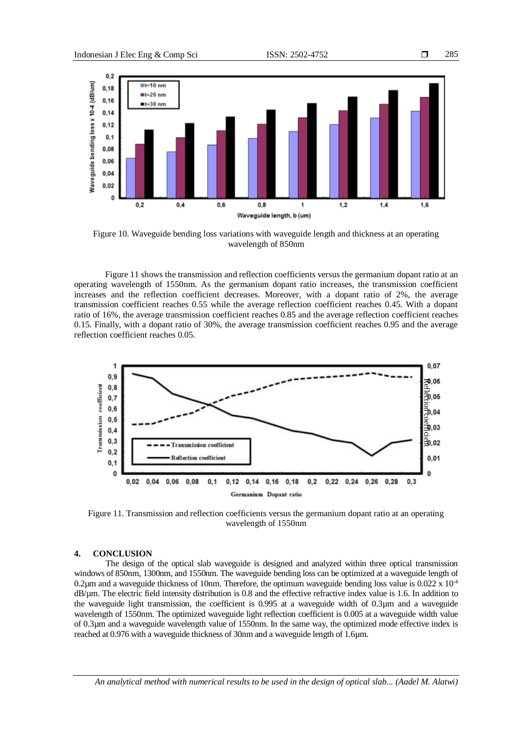

Figure 10. Waveguide bending loss variations with waveguide length and thickness at an operating wavelength of 850nm

Figure 11 shows the transmission and reflection coefficients versus the germanium dopant ratio at an operating wavelength of 1550nm. As the germanium dopant ratio increases, the transmission coefficient increases and the reflection coefficient decreases. Moreover, with a dopant ratio of 2%, the average transmission coefficient reaches 0.55 while the average reflection coefficient reaches 0.45. With a dopant ratio of 16%, the average transmission coefficient reaches 0.85 and the average reflection coefficient reaches 0.15. Finally, with a dopant ratio of 30%, the average transmission coefficient reaches 0.95 and the average reflection coefficient reaches 0.05.



Figure 11. Transmission and reflection coefficients versus the germanium dopant ratio at an operating wavelength of 1550nm

### **4. CONCLUSION**

The design of the optical slab waveguide is designed and analyzed within three optical transmission windows of 850nm, 1300nm, and 1550nm. The waveguide bending loss can be optimized at a waveguide length of 0.2 $\mu$ m and a waveguide thickness of 10nm. Therefore, the optimum waveguide bending loss value is 0.022 x 10<sup>-4</sup> dB/µm. The electric field intensity distribution is 0.8 and the effective refractive index value is 1.6. In addition to the waveguide light transmission, the coefficient is 0.995 at a waveguide width of 0.3µm and a waveguide wavelength of 1550nm. The optimized waveguide light reflection coefficient is 0.005 at a waveguide width value of 0.3µm and a waveguide wavelength value of 1550nm. In the same way, the optimized mode effective index is reached at 0.976 with a waveguide thickness of 30nm and a waveguide length of 1.6µm.

*An analytical method with numerical results to be used in the design of optical slab... (Aadel M. Alatwi)*